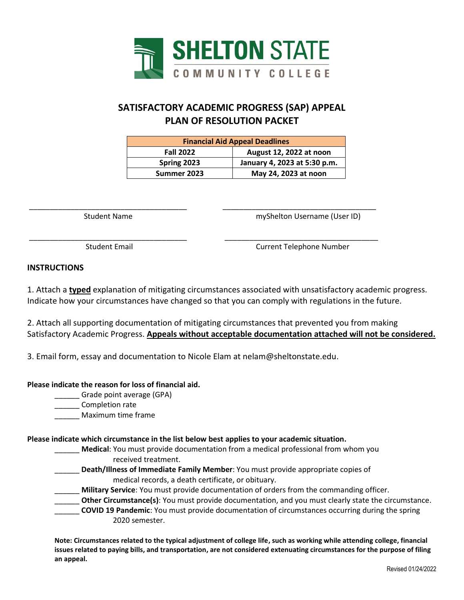

# **SATISFACTORY ACADEMIC PROGRESS (SAP) APPEAL PLAN OF RESOLUTION PACKET**

| <b>Financial Aid Appeal Deadlines</b> |                              |
|---------------------------------------|------------------------------|
| <b>Fall 2022</b>                      | August 12, 2022 at noon      |
| Spring 2023                           | January 4, 2023 at 5:30 p.m. |
| Summer 2023                           | May 24, 2023 at noon         |

\_\_\_\_\_\_\_\_\_\_\_\_\_\_\_\_\_\_\_\_\_\_\_\_\_\_\_\_\_\_\_\_\_\_\_\_\_\_ \_\_\_\_\_\_\_\_\_\_\_\_\_\_\_\_\_\_\_\_\_\_\_\_\_\_\_\_\_\_\_\_\_\_\_\_\_

\_\_\_\_\_\_\_\_\_\_\_\_\_\_\_\_\_\_\_\_\_\_\_\_\_\_\_\_\_\_\_\_\_\_\_\_\_\_ \_\_\_\_\_\_\_\_\_\_\_\_\_\_\_\_\_\_\_\_\_\_\_\_\_\_\_\_\_\_\_\_\_\_\_\_\_

Student Name myShelton Username (User ID)

Student Email **Current Telephone Number** 

### **INSTRUCTIONS**

1. Attach a **typed** explanation of mitigating circumstances associated with unsatisfactory academic progress. Indicate how your circumstances have changed so that you can comply with regulations in the future.

2. Attach all supporting documentation of mitigating circumstances that prevented you from making Satisfactory Academic Progress. **Appeals without acceptable documentation attached will not be considered.**

3. Email form, essay and documentation to Nicole Elam at nelam@sheltonstate.edu.

### **Please indicate the reason for loss of financial aid.**

\_\_\_\_\_\_ Grade point average (GPA)

Completion rate

\_\_\_\_\_\_ Maximum time frame

### **Please indicate which circumstance in the list below best applies to your academic situation.**

- \_\_\_\_\_\_ **Medical**: You must provide documentation from a medical professional from whom you received treatment.
	- \_\_\_\_\_\_ **Death/Illness of Immediate Family Member**: You must provide appropriate copies of medical records, a death certificate, or obituary.
- **Military Service**: You must provide documentation of orders from the commanding officer.

**Other Circumstance(s)**: You must provide documentation, and you must clearly state the circumstance.

\_\_\_\_\_\_ **COVID 19 Pandemic**: You must provide documentation of circumstances occurring during the spring 2020 semester.

**Note: Circumstances related to the typical adjustment of college life, such as working while attending college, financial issues related to paying bills, and transportation, are not considered extenuating circumstances for the purpose of filing an appeal.**